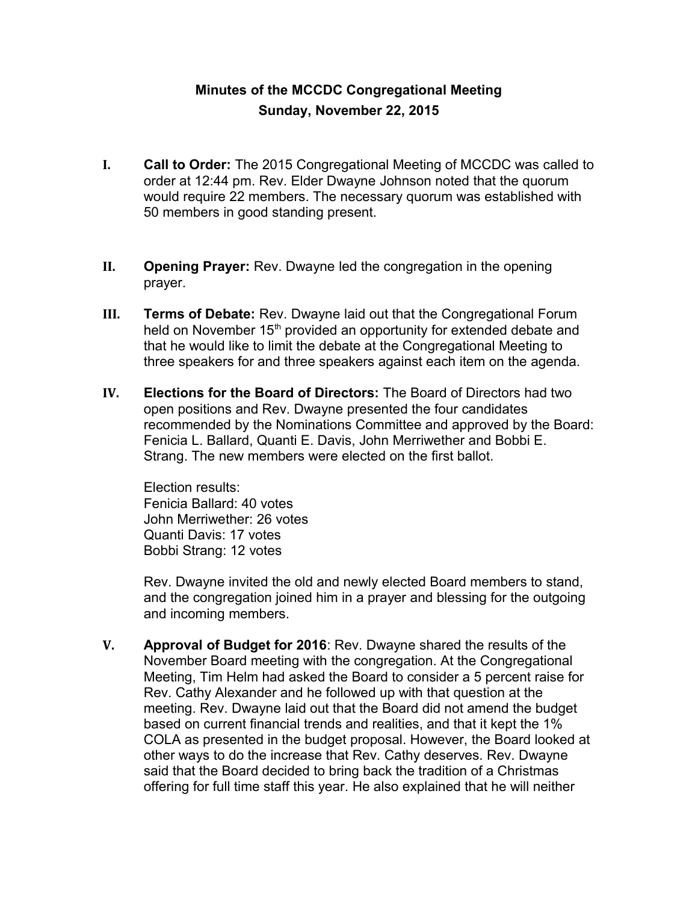## **Minutes of the MCCDC Congregational Meeting Sunday, November 22, 2015**

- **I. Call to Order:** The 2015 Congregational Meeting of MCCDC was called to order at 12:44 pm. Rev. Elder Dwayne Johnson noted that the quorum would require 22 members. The necessary quorum was established with 50 members in good standing present.
- **II. Opening Prayer:** Rev. Dwayne led the congregation in the opening prayer.
- **III. Terms of Debate:** Rev. Dwayne laid out that the Congregational Forum held on November 15<sup>th</sup> provided an opportunity for extended debate and that he would like to limit the debate at the Congregational Meeting to three speakers for and three speakers against each item on the agenda.
- **IV. Elections for the Board of Directors:** The Board of Directors had two open positions and Rev. Dwayne presented the four candidates recommended by the Nominations Committee and approved by the Board: Fenicia L. Ballard, Quanti E. Davis, John Merriwether and Bobbi E. Strang. The new members were elected on the first ballot.

Election results: Fenicia Ballard: 40 votes John Merriwether: 26 votes Quanti Davis: 17 votes Bobbi Strang: 12 votes

Rev. Dwayne invited the old and newly elected Board members to stand, and the congregation joined him in a prayer and blessing for the outgoing and incoming members.

**V. Approval of Budget for 2016**: Rev. Dwayne shared the results of the November Board meeting with the congregation. At the Congregational Meeting, Tim Helm had asked the Board to consider a 5 percent raise for Rev. Cathy Alexander and he followed up with that question at the meeting. Rev. Dwayne laid out that the Board did not amend the budget based on current financial trends and realities, and that it kept the 1% COLA as presented in the budget proposal. However, the Board looked at other ways to do the increase that Rev. Cathy deserves. Rev. Dwayne said that the Board decided to bring back the tradition of a Christmas offering for full time staff this year. He also explained that he will neither